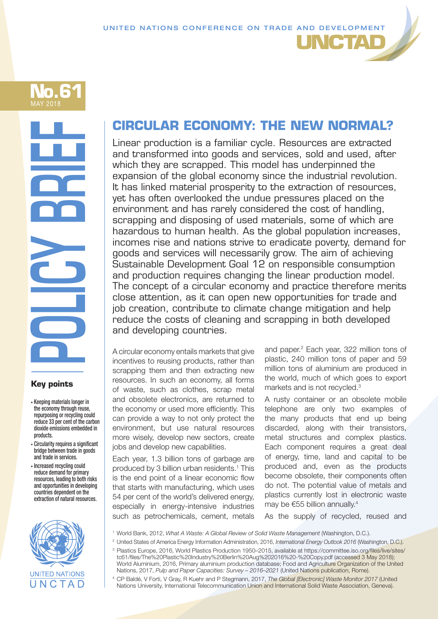

# **POLICY BRIEF**<br>POLICY BRIEF<br>ROUGH

# **Key points**

- Keeping materials longer in the economy through reuse, repurposing or recycling could reduce 33 per cent of the carbon dioxide emissions embedded in products.
- Circularity requires a significant bridge between trade in goods and trade in services.
- Increased recycling could reduce demand for primary resources, leading to both risks and opportunities in developing countries dependent on the extraction of natural resources.



# **CIRCULAR ECONOMY: THE NEW NORMAL?**

Linear production is a familiar cycle. Resources are extracted and transformed into goods and services, sold and used, after which they are scrapped. This model has underpinned the expansion of the global economy since the industrial revolution. It has linked material prosperity to the extraction of resources, yet has often overlooked the undue pressures placed on the environment and has rarely considered the cost of handling, scrapping and disposing of used materials, some of which are hazardous to human health. As the global population increases, incomes rise and nations strive to eradicate poverty, demand for goods and services will necessarily grow. The aim of achieving Sustainable Development Goal 12 on responsible consumption and production requires changing the linear production model. The concept of a circular economy and practice therefore merits close attention, as it can open new opportunities for trade and job creation, contribute to climate change mitigation and help reduce the costs of cleaning and scrapping in both developed and developing countries.

A circular economy entails markets that give incentives to reusing products, rather than scrapping them and then extracting new resources. In such an economy, all forms of waste, such as clothes, scrap metal and obsolete electronics, are returned to the economy or used more efficiently. This can provide a way to not only protect the environment, but use natural resources more wisely, develop new sectors, create jobs and develop new capabilities.

Each year, 1.3 billion tons of garbage are produced by 3 billion urban residents.<sup>1</sup> This is the end point of a linear economic flow that starts with manufacturing, which uses 54 per cent of the world's delivered energy, especially in energy-intensive industries such as petrochemicals, cement, metals

and paper.<sup>2</sup> Each year, 322 million tons of plastic, 240 million tons of paper and 59 million tons of aluminium are produced in the world, much of which goes to export markets and is not recycled.3

**JNCTAD** 

A rusty container or an obsolete mobile telephone are only two examples of the many products that end up being discarded, along with their transistors, metal structures and complex plastics. Each component requires a great deal of energy, time, land and capital to be produced and, even as the products become obsolete, their components often do not. The potential value of metals and plastics currently lost in electronic waste may be €55 billion annually.4

As the supply of recycled, reused and

- <sup>1</sup> World Bank, 2012, *What A Waste: A Global Review of Solid Waste Management* (Washington, D.C.).
- <sup>2</sup> United States of America Energy Information Administration, 2016, *International Energy Outlook 2016* (Washington, D.C.).
- <sup>3</sup> Plastics Europe, 2016, World Plastics Production 1950–2015, available at https://committee.iso.org/files/live/sites/ tc61/files/The%20Plastic%20Industry%20Berlin%20Aug%202016%20-%20Copy.pdf (accessed 3 May 2018); World Aluminium, 2016, Primary aluminium production database; Food and Agriculture Organization of the United Nations, 2017, *Pulp and Paper Capacities: Survey – 2016–2021* (United Nations publication, Rome).
- <sup>4</sup> CP Baldé, V Forti, V Gray, R Kuehr and P Stegmann, 2017, *The Global [Electronic] Waste Monitor 2017* (United Nations University, International Telecommunication Union and International Solid Waste Association, Geneva).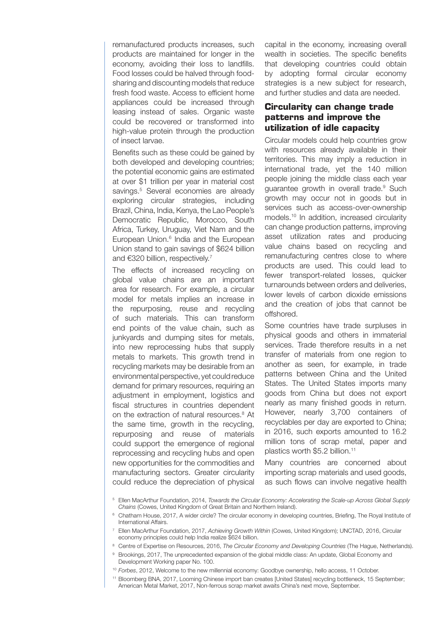remanufactured products increases, such products are maintained for longer in the economy, avoiding their loss to landfills. Food losses could be halved through foodsharing and discounting models that reduce fresh food waste. Access to efficient home appliances could be increased through leasing instead of sales. Organic waste could be recovered or transformed into high-value protein through the production of insect larvae.

Benefits such as these could be gained by both developed and developing countries; the potential economic gains are estimated at over \$1 trillion per year in material cost savings.<sup>5</sup> Several economies are already exploring circular strategies, including Brazil, China, India, Kenya, the Lao People's Democratic Republic, Morocco, South Africa, Turkey, Uruguay, Viet Nam and the European Union.<sup>6</sup> India and the European Union stand to gain savings of \$624 billion and €320 billion, respectively.<sup>7</sup>

The effects of increased recycling on global value chains are an important area for research. For example, a circular model for metals implies an increase in the repurposing, reuse and recycling of such materials. This can transform end points of the value chain, such as junkyards and dumping sites for metals, into new reprocessing hubs that supply metals to markets. This growth trend in recycling markets may be desirable from an environmental perspective, yet could reduce demand for primary resources, requiring an adjustment in employment, logistics and fiscal structures in countries dependent on the extraction of natural resources.<sup>8</sup> At the same time, growth in the recycling, repurposing and reuse of materials could support the emergence of regional reprocessing and recycling hubs and open new opportunities for the commodities and manufacturing sectors. Greater circularity could reduce the depreciation of physical

capital in the economy, increasing overall wealth in societies. The specific benefits that developing countries could obtain by adopting formal circular economy strategies is a new subject for research, and further studies and data are needed.

# **Circularity can change trade patterns and improve the utilization of idle capacity**

Circular models could help countries grow with resources already available in their territories. This may imply a reduction in international trade, yet the 140 million people joining the middle class each year guarantee growth in overall trade.<sup>9</sup> Such growth may occur not in goods but in services such as access-over-ownership models.10 In addition, increased circularity can change production patterns, improving asset utilization rates and producing value chains based on recycling and remanufacturing centres close to where products are used. This could lead to fewer transport-related losses, quicker turnarounds between orders and deliveries, lower levels of carbon dioxide emissions and the creation of jobs that cannot be offshored.

Some countries have trade surpluses in physical goods and others in immaterial services. Trade therefore results in a net transfer of materials from one region to another as seen, for example, in trade patterns between China and the United States. The United States imports many goods from China but does not export nearly as many finished goods in return. However, nearly 3,700 containers of recyclables per day are exported to China; in 2016, such exports amounted to 16.2 million tons of scrap metal, paper and plastics worth \$5.2 billion.11

Many countries are concerned about importing scrap materials and used goods, as such flows can involve negative health

<sup>5</sup> Ellen MacArthur Foundation, 2014, *Towards the Circular Economy: Accelerating the Scale-up Across Global Supply Chains* (Cowes, United Kingdom of Great Britain and Northern Ireland).

<sup>&</sup>lt;sup>6</sup> Chatham House, 2017, A wider circle? The circular economy in developing countries, Briefing, The Royal Institute of International Affairs.

<sup>7</sup> Ellen MacArthur Foundation, 2017, *Achieving Growth Within* (Cowes, United Kingdom); UNCTAD, 2016, Circular economy principles could help India realize \$624 billion.

<sup>&</sup>lt;sup>8</sup> Centre of Expertise on Resources, 2016, *The Circular Economy and Developing Countries* (The Hague, Netherlands).

<sup>9</sup> Brookings, 2017, The unprecedented expansion of the global middle class: An update, Global Economy and Development Working paper No. 100.

<sup>10</sup> *Forbes*, 2012, Welcome to the new millennial economy: Goodbye ownership, hello access, 11 October.

<sup>11</sup> Bloomberg BNA, 2017, Looming Chinese import ban creates [United States] recycling bottleneck, 15 September; American Metal Market, 2017, Non-ferrous scrap market awaits China's next move, September.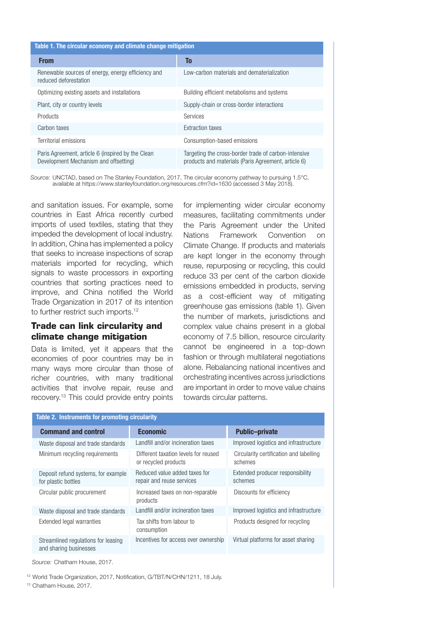| Table 1. The circular economy and climate change mitigation                                |                                                                                                             |  |  |
|--------------------------------------------------------------------------------------------|-------------------------------------------------------------------------------------------------------------|--|--|
| <b>From</b>                                                                                | To                                                                                                          |  |  |
| Renewable sources of energy, energy efficiency and<br>reduced deforestation                | Low-carbon materials and dematerialization                                                                  |  |  |
| Optimizing existing assets and installations                                               | Building efficient metabolisms and systems                                                                  |  |  |
| Plant, city or country levels                                                              | Supply-chain or cross-border interactions                                                                   |  |  |
| <b>Products</b>                                                                            | Services                                                                                                    |  |  |
| Carbon taxes                                                                               | <b>Extraction taxes</b>                                                                                     |  |  |
| Territorial emissions                                                                      | Consumption-based emissions                                                                                 |  |  |
| Paris Agreement, article 6 (inspired by the Clean<br>Development Mechanism and offsetting) | Targeting the cross-border trade of carbon-intensive<br>products and materials (Paris Agreement, article 6) |  |  |
|                                                                                            |                                                                                                             |  |  |

*Source:* UNCTAD, based on The Stanley Foundation, 2017, The circular economy pathway to pursuing 1.5°C, available at https://www.stanleyfoundation.org/resources.cfm?id=1630 (accessed 3 May 2018).

and sanitation issues. For example, some countries in East Africa recently curbed imports of used textiles, stating that they impeded the development of local industry. In addition, China has implemented a policy that seeks to increase inspections of scrap materials imported for recycling, which signals to waste processors in exporting countries that sorting practices need to improve, and China notified the World Trade Organization in 2017 of its intention to further restrict such imports.<sup>12</sup>

# **Trade can link circularity and climate change mitigation**

Data is limited, yet it appears that the economies of poor countries may be in many ways more circular than those of richer countries, with many traditional activities that involve repair, reuse and recovery.13 This could provide entry points

for implementing wider circular economy measures, facilitating commitments under the Paris Agreement under the United Nations Framework Convention on Climate Change. If products and materials are kept longer in the economy through reuse, repurposing or recycling, this could reduce 33 per cent of the carbon dioxide emissions embedded in products, serving as a cost-efficient way of mitigating greenhouse gas emissions (table 1). Given the number of markets, jurisdictions and complex value chains present in a global economy of 7.5 billion, resource circularity cannot be engineered in a top-down fashion or through multilateral negotiations alone. Rebalancing national incentives and orchestrating incentives across jurisdictions are important in order to move value chains towards circular patterns.

| Table 2. Instruments for promoting circularity |                                                               |                                                              |                                                    |
|------------------------------------------------|---------------------------------------------------------------|--------------------------------------------------------------|----------------------------------------------------|
|                                                | <b>Command and control</b>                                    | <b>Economic</b>                                              | <b>Public-private</b>                              |
|                                                | Waste disposal and trade standards                            | Landfill and/or incineration taxes                           | Improved logistics and infrastructure              |
|                                                | Minimum recycling requirements                                | Different taxation levels for reused<br>or recycled products | Circularity certification and labelling<br>schemes |
|                                                | Deposit refund systems, for example<br>for plastic bottles    | Reduced value added taxes for<br>repair and reuse services   | Extended producer responsibility<br>schemes        |
|                                                | Circular public procurement                                   | Increased taxes on non-reparable<br>products                 | Discounts for efficiency                           |
|                                                | Waste disposal and trade standards                            | Landfill and/or incineration taxes                           | Improved logistics and infrastructure              |
|                                                | Extended legal warranties                                     | Tax shifts from labour to<br>consumption                     | Products designed for recycling                    |
|                                                | Streamlined regulations for leasing<br>and sharing businesses | Incentives for access over ownership                         | Virtual platforms for asset sharing                |

*Source:* Chatham House, 2017.

<sup>12</sup> World Trade Organization, 2017, Notification, G/TBT/N/CHN/1211, 18 July.

<sup>13</sup> Chatham House, 2017.